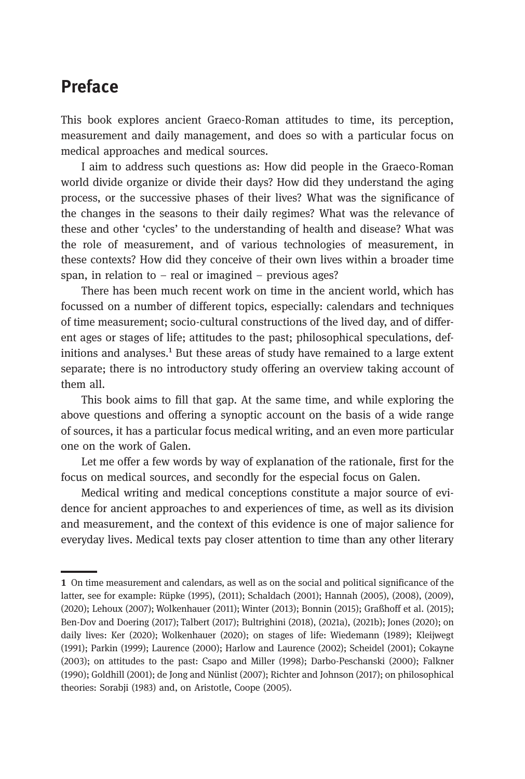## Preface

This book explores ancient Graeco-Roman attitudes to time, its perception, measurement and daily management, and does so with a particular focus on medical approaches and medical sources.

I aim to address such questions as: How did people in the Graeco-Roman world divide organize or divide their days? How did they understand the aging process, or the successive phases of their lives? What was the significance of the changes in the seasons to their daily regimes? What was the relevance of these and other 'cycles' to the understanding of health and disease? What was the role of measurement, and of various technologies of measurement, in these contexts? How did they conceive of their own lives within a broader time span, in relation to – real or imagined – previous ages?

There has been much recent work on time in the ancient world, which has focussed on a number of different topics, especially: calendars and techniques of time measurement; socio-cultural constructions of the lived day, and of different ages or stages of life; attitudes to the past; philosophical speculations, definitions and analyses.<sup>1</sup> But these areas of study have remained to a large extent separate; there is no introductory study offering an overview taking account of them all.

This book aims to fill that gap. At the same time, and while exploring the above questions and offering a synoptic account on the basis of a wide range of sources, it has a particular focus medical writing, and an even more particular one on the work of Galen.

Let me offer a few words by way of explanation of the rationale, first for the focus on medical sources, and secondly for the especial focus on Galen.

Medical writing and medical conceptions constitute a major source of evidence for ancient approaches to and experiences of time, as well as its division and measurement, and the context of this evidence is one of major salience for everyday lives. Medical texts pay closer attention to time than any other literary

On time measurement and calendars, as well as on the social and political significance of the latter, see for example: Rüpke (1995), (2011); Schaldach (2001); Hannah (2005), (2008), (2009), (2020); Lehoux (2007); Wolkenhauer (2011); Winter (2013); Bonnin (2015); Graßhoff et al. (2015); Ben-Dov and Doering (2017); Talbert (2017); Bultrighini (2018), (2021a), (2021b); Jones (2020); on daily lives: Ker (2020); Wolkenhauer (2020); on stages of life: Wiedemann (1989); Kleijwegt (1991); Parkin (1999); Laurence (2000); Harlow and Laurence (2002); Scheidel (2001); Cokayne (2003); on attitudes to the past: Csapo and Miller (1998); Darbo-Peschanski (2000); Falkner (1990); Goldhill (2001); de Jong and Nünlist (2007); Richter and Johnson (2017); on philosophical theories: Sorabji (1983) and, on Aristotle, Coope (2005).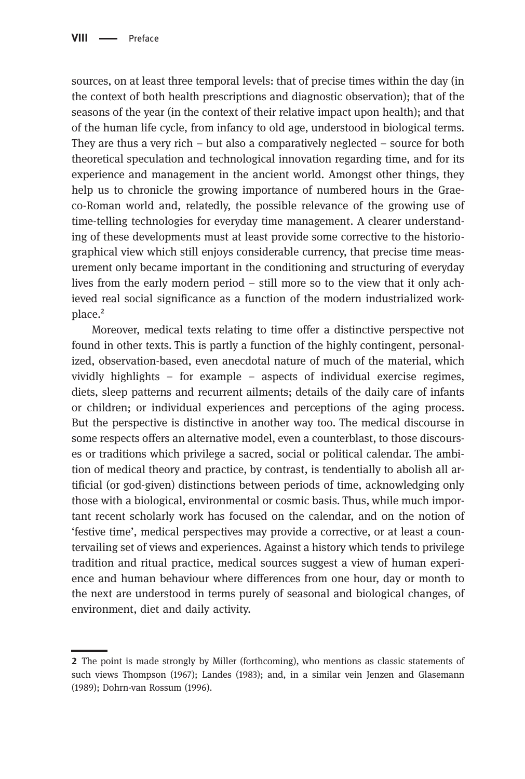sources, on at least three temporal levels: that of precise times within the day (in the context of both health prescriptions and diagnostic observation); that of the seasons of the year (in the context of their relative impact upon health); and that of the human life cycle, from infancy to old age, understood in biological terms. They are thus a very rich – but also a comparatively neglected – source for both theoretical speculation and technological innovation regarding time, and for its experience and management in the ancient world. Amongst other things, they help us to chronicle the growing importance of numbered hours in the Graeco-Roman world and, relatedly, the possible relevance of the growing use of time-telling technologies for everyday time management. A clearer understanding of these developments must at least provide some corrective to the historiographical view which still enjoys considerable currency, that precise time measurement only became important in the conditioning and structuring of everyday lives from the early modern period – still more so to the view that it only achieved real social significance as a function of the modern industrialized workplace.²

Moreover, medical texts relating to time offer a distinctive perspective not found in other texts. This is partly a function of the highly contingent, personalized, observation-based, even anecdotal nature of much of the material, which vividly highlights – for example – aspects of individual exercise regimes, diets, sleep patterns and recurrent ailments; details of the daily care of infants or children; or individual experiences and perceptions of the aging process. But the perspective is distinctive in another way too. The medical discourse in some respects offers an alternative model, even a counterblast, to those discourses or traditions which privilege a sacred, social or political calendar. The ambition of medical theory and practice, by contrast, is tendentially to abolish all artificial (or god-given) distinctions between periods of time, acknowledging only those with a biological, environmental or cosmic basis. Thus, while much important recent scholarly work has focused on the calendar, and on the notion of 'festive time', medical perspectives may provide a corrective, or at least a countervailing set of views and experiences. Against a history which tends to privilege tradition and ritual practice, medical sources suggest a view of human experience and human behaviour where differences from one hour, day or month to the next are understood in terms purely of seasonal and biological changes, of environment, diet and daily activity.

<sup>2</sup> The point is made strongly by Miller (forthcoming), who mentions as classic statements of such views Thompson (1967); Landes (1983); and, in a similar vein Jenzen and Glasemann (1989); Dohrn-van Rossum (1996).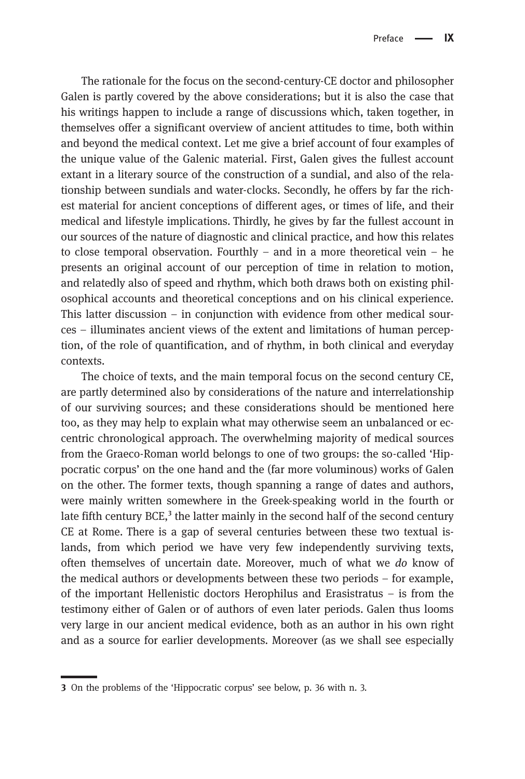The rationale for the focus on the second-century-CE doctor and philosopher Galen is partly covered by the above considerations; but it is also the case that his writings happen to include a range of discussions which, taken together, in themselves offer a significant overview of ancient attitudes to time, both within and beyond the medical context. Let me give a brief account of four examples of the unique value of the Galenic material. First, Galen gives the fullest account extant in a literary source of the construction of a sundial, and also of the relationship between sundials and water-clocks. Secondly, he offers by far the richest material for ancient conceptions of different ages, or times of life, and their medical and lifestyle implications. Thirdly, he gives by far the fullest account in our sources of the nature of diagnostic and clinical practice, and how this relates to close temporal observation. Fourthly – and in a more theoretical vein – he presents an original account of our perception of time in relation to motion, and relatedly also of speed and rhythm, which both draws both on existing philosophical accounts and theoretical conceptions and on his clinical experience. This latter discussion – in conjunction with evidence from other medical sources – illuminates ancient views of the extent and limitations of human perception, of the role of quantification, and of rhythm, in both clinical and everyday contexts.

The choice of texts, and the main temporal focus on the second century CE, are partly determined also by considerations of the nature and interrelationship of our surviving sources; and these considerations should be mentioned here too, as they may help to explain what may otherwise seem an unbalanced or eccentric chronological approach. The overwhelming majority of medical sources from the Graeco-Roman world belongs to one of two groups: the so-called 'Hippocratic corpus' on the one hand and the (far more voluminous) works of Galen on the other. The former texts, though spanning a range of dates and authors, were mainly written somewhere in the Greek-speaking world in the fourth or late fifth century BCE, $3$  the latter mainly in the second half of the second century CE at Rome. There is a gap of several centuries between these two textual islands, from which period we have very few independently surviving texts, often themselves of uncertain date. Moreover, much of what we do know of the medical authors or developments between these two periods – for example, of the important Hellenistic doctors Herophilus and Erasistratus – is from the testimony either of Galen or of authors of even later periods. Galen thus looms very large in our ancient medical evidence, both as an author in his own right and as a source for earlier developments. Moreover (as we shall see especially

On the problems of the 'Hippocratic corpus' see below, p. 36 with n. 3.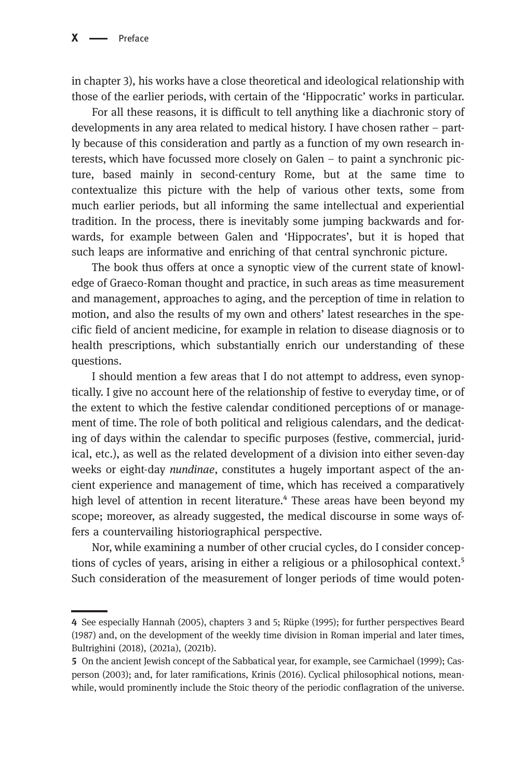in chapter 3), his works have a close theoretical and ideological relationship with those of the earlier periods, with certain of the 'Hippocratic' works in particular.

For all these reasons, it is difficult to tell anything like a diachronic story of developments in any area related to medical history. I have chosen rather – partly because of this consideration and partly as a function of my own research interests, which have focussed more closely on Galen – to paint a synchronic picture, based mainly in second-century Rome, but at the same time to contextualize this picture with the help of various other texts, some from much earlier periods, but all informing the same intellectual and experiential tradition. In the process, there is inevitably some jumping backwards and forwards, for example between Galen and 'Hippocrates', but it is hoped that such leaps are informative and enriching of that central synchronic picture.

The book thus offers at once a synoptic view of the current state of knowledge of Graeco-Roman thought and practice, in such areas as time measurement and management, approaches to aging, and the perception of time in relation to motion, and also the results of my own and others' latest researches in the specific field of ancient medicine, for example in relation to disease diagnosis or to health prescriptions, which substantially enrich our understanding of these questions.

I should mention a few areas that I do not attempt to address, even synoptically. I give no account here of the relationship of festive to everyday time, or of the extent to which the festive calendar conditioned perceptions of or management of time. The role of both political and religious calendars, and the dedicating of days within the calendar to specific purposes (festive, commercial, juridical, etc.), as well as the related development of a division into either seven-day weeks or eight-day nundinae, constitutes a hugely important aspect of the ancient experience and management of time, which has received a comparatively high level of attention in recent literature.<sup>4</sup> These areas have been beyond my scope; moreover, as already suggested, the medical discourse in some ways offers a countervailing historiographical perspective.

Nor, while examining a number of other crucial cycles, do I consider conceptions of cycles of years, arising in either a religious or a philosophical context.<sup>5</sup> Such consideration of the measurement of longer periods of time would poten-

See especially Hannah (2005), chapters 3 and 5; Rüpke (1995); for further perspectives Beard (1987) and, on the development of the weekly time division in Roman imperial and later times, Bultrighini (2018), (2021a), (2021b).

<sup>5</sup> On the ancient Jewish concept of the Sabbatical year, for example, see Carmichael (1999); Casperson (2003); and, for later ramifications, Krinis (2016). Cyclical philosophical notions, meanwhile, would prominently include the Stoic theory of the periodic conflagration of the universe.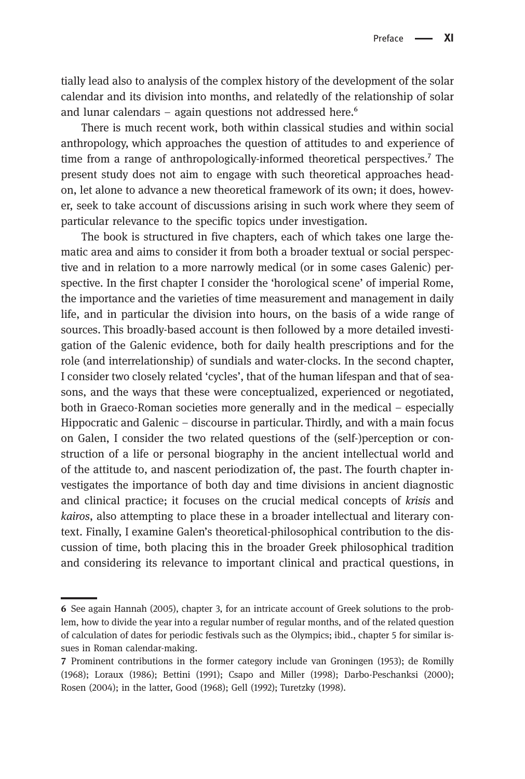tially lead also to analysis of the complex history of the development of the solar calendar and its division into months, and relatedly of the relationship of solar and lunar calendars – again questions not addressed here. $6$ 

There is much recent work, both within classical studies and within social anthropology, which approaches the question of attitudes to and experience of time from a range of anthropologically-informed theoretical perspectives.<sup>7</sup> The present study does not aim to engage with such theoretical approaches headon, let alone to advance a new theoretical framework of its own; it does, however, seek to take account of discussions arising in such work where they seem of particular relevance to the specific topics under investigation.

The book is structured in five chapters, each of which takes one large thematic area and aims to consider it from both a broader textual or social perspective and in relation to a more narrowly medical (or in some cases Galenic) perspective. In the first chapter I consider the 'horological scene' of imperial Rome, the importance and the varieties of time measurement and management in daily life, and in particular the division into hours, on the basis of a wide range of sources. This broadly-based account is then followed by a more detailed investigation of the Galenic evidence, both for daily health prescriptions and for the role (and interrelationship) of sundials and water-clocks. In the second chapter, I consider two closely related 'cycles', that of the human lifespan and that of seasons, and the ways that these were conceptualized, experienced or negotiated, both in Graeco-Roman societies more generally and in the medical – especially Hippocratic and Galenic – discourse in particular. Thirdly, and with a main focus on Galen, I consider the two related questions of the (self‐)perception or construction of a life or personal biography in the ancient intellectual world and of the attitude to, and nascent periodization of, the past. The fourth chapter investigates the importance of both day and time divisions in ancient diagnostic and clinical practice; it focuses on the crucial medical concepts of krisis and kairos, also attempting to place these in a broader intellectual and literary context. Finally, I examine Galen's theoretical-philosophical contribution to the discussion of time, both placing this in the broader Greek philosophical tradition and considering its relevance to important clinical and practical questions, in

See again Hannah (2005), chapter 3, for an intricate account of Greek solutions to the problem, how to divide the year into a regular number of regular months, and of the related question of calculation of dates for periodic festivals such as the Olympics; ibid., chapter 5 for similar issues in Roman calendar-making.

Prominent contributions in the former category include van Groningen (1953); de Romilly (1968); Loraux (1986); Bettini (1991); Csapo and Miller (1998); Darbo-Peschanksi (2000); Rosen (2004); in the latter, Good (1968); Gell (1992); Turetzky (1998).